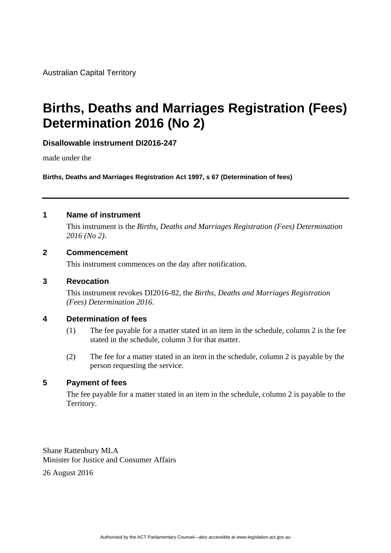Australian Capital Territory

# **Births, Deaths and Marriages Registration (Fees) Determination 2016 (No 2)**

**Disallowable instrument DI2016-247** 

made under the

**Births, Deaths and Marriages Registration Act 1997, s 67 (Determination of fees)** 

### **1 Name of instrument**

This instrument is the *Births, Deaths and Marriages Registration (Fees) Determination 2016 (No 2)*.

#### **2 Commencement**

This instrument commences on the day after notification.

#### **3 Revocation**

This instrument revokes DI2016-82, the *Births, Deaths and Marriages Registration (Fees) Determination 2016*.

#### **4 Determination of fees**

- (1) The fee payable for a matter stated in an item in the schedule, column 2 is the fee stated in the schedule, column 3 for that matter.
- (2) The fee for a matter stated in an item in the schedule, column 2 is payable by the person requesting the service.

#### **5 Payment of fees**

The fee payable for a matter stated in an item in the schedule, column 2 is payable to the Territory.

Shane Rattenbury MLA Minister for Justice and Consumer Affairs

26 August 2016